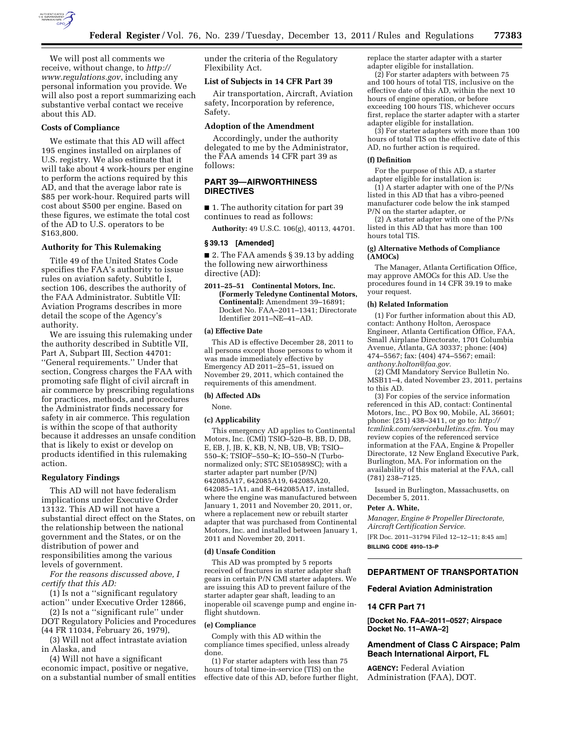

We will post all comments we receive, without change, to *[http://](http://www.regulations.gov) [www.regulations.gov](http://www.regulations.gov)*, including any personal information you provide. We will also post a report summarizing each substantive verbal contact we receive about this AD.

## **Costs of Compliance**

We estimate that this AD will affect 195 engines installed on airplanes of U.S. registry. We also estimate that it will take about 4 work-hours per engine to perform the actions required by this AD, and that the average labor rate is \$85 per work-hour. Required parts will cost about \$500 per engine. Based on these figures, we estimate the total cost of the AD to U.S. operators to be \$163,800.

## **Authority for This Rulemaking**

Title 49 of the United States Code specifies the FAA's authority to issue rules on aviation safety. Subtitle I, section 106, describes the authority of the FAA Administrator. Subtitle VII: Aviation Programs describes in more detail the scope of the Agency's authority.

We are issuing this rulemaking under the authority described in Subtitle VII, Part A, Subpart III, Section 44701: ''General requirements.'' Under that section, Congress charges the FAA with promoting safe flight of civil aircraft in air commerce by prescribing regulations for practices, methods, and procedures the Administrator finds necessary for safety in air commerce. This regulation is within the scope of that authority because it addresses an unsafe condition that is likely to exist or develop on products identified in this rulemaking action.

### **Regulatory Findings**

This AD will not have federalism implications under Executive Order 13132. This AD will not have a substantial direct effect on the States, on the relationship between the national government and the States, or on the distribution of power and responsibilities among the various levels of government.

*For the reasons discussed above, I certify that this AD:* 

(1) Is not a ''significant regulatory action'' under Executive Order 12866,

(2) Is not a ''significant rule'' under DOT Regulatory Policies and Procedures (44 FR 11034, February 26, 1979),

(3) Will not affect intrastate aviation in Alaska, and

(4) Will not have a significant economic impact, positive or negative, on a substantial number of small entities under the criteria of the Regulatory Flexibility Act.

## **List of Subjects in 14 CFR Part 39**

Air transportation, Aircraft, Aviation safety, Incorporation by reference, Safety.

# **Adoption of the Amendment**

Accordingly, under the authority delegated to me by the Administrator, the FAA amends 14 CFR part 39 as follows:

# **PART 39—AIRWORTHINESS DIRECTIVES**

■ 1. The authority citation for part 39 continues to read as follows:

**Authority:** 49 U.S.C. 106(g), 40113, 44701.

## **§ 39.13 [Amended]**

■ 2. The FAA amends § 39.13 by adding the following new airworthiness directive (AD):

**2011–25–51 Continental Motors, Inc. (Formerly Teledyne Continental Motors, Continental):** Amendment 39–16891; Docket No. FAA–2011–1341; Directorate Identifier 2011–NE–41–AD.

### **(a) Effective Date**

This AD is effective December 28, 2011 to all persons except those persons to whom it was made immediately effective by Emergency AD 2011–25–51, issued on November 29, 2011, which contained the requirements of this amendment.

### **(b) Affected ADs**

None.

## **(c) Applicability**

This emergency AD applies to Continental Motors, Inc. (CMI) TSIO–520–B, BB, D, DB, E, EB, J, JB, K, KB, N, NB, UB, VB; TSIO– 550–K; TSIOF–550–K; IO–550–N (Turbonormalized only; STC SE10589SC); with a starter adapter part number (P/N) 642085A17, 642085A19, 642085A20, 642085–1A1, and R–642085A17, installed, where the engine was manufactured between January 1, 2011 and November 20, 2011, or, where a replacement new or rebuilt starter adapter that was purchased from Continental Motors, Inc. and installed between January 1, 2011 and November 20, 2011.

## **(d) Unsafe Condition**

This AD was prompted by 5 reports received of fractures in starter adapter shaft gears in certain P/N CMI starter adapters. We are issuing this AD to prevent failure of the starter adapter gear shaft, leading to an inoperable oil scavenge pump and engine inflight shutdown.

#### **(e) Compliance**

Comply with this AD within the compliance times specified, unless already done.

(1) For starter adapters with less than 75 hours of total time-in-service (TIS) on the effective date of this AD, before further flight, replace the starter adapter with a starter adapter eligible for installation.

(2) For starter adapters with between 75 and 100 hours of total TIS, inclusive on the effective date of this AD, within the next 10 hours of engine operation, or before exceeding 100 hours TIS, whichever occurs first, replace the starter adapter with a starter adapter eligible for installation.

(3) For starter adapters with more than 100 hours of total TIS on the effective date of this AD, no further action is required.

### **(f) Definition**

For the purpose of this AD, a starter adapter eligible for installation is:

 $(1)$  A starter adapter with one of the P/Ns listed in this AD that has a vibro-peened manufacturer code below the ink stamped P/N on the starter adapter, or

(2) A starter adapter with one of the P/Ns listed in this AD that has more than 100 hours total TIS.

## **(g) Alternative Methods of Compliance (AMOCs)**

The Manager, Atlanta Certification Office, may approve AMOCs for this AD. Use the procedures found in 14 CFR 39.19 to make your request.

#### **(h) Related Information**

(1) For further information about this AD, contact: Anthony Holton, Aerospace Engineer, Atlanta Certification Office, FAA, Small Airplane Directorate, 1701 Columbia Avenue, Atlanta, GA 30337; phone: (404) 474–5567; fax: (404) 474–5567; email: *[anthony.holton@faa.gov.](mailto:anthony.holton@faa.gov)* 

(2) CMI Mandatory Service Bulletin No. MSB11–4, dated November 23, 2011, pertains to this AD.

(3) For copies of the service information referenced in this AD, contact: Continental Motors, Inc., PO Box 90, Mobile, AL 36601; phone: (251) 438–3411, or go to: *[http://](http://tcmlink.com/servicebulletins.cfm)  [tcmlink.com/servicebulletins.cfm.](http://tcmlink.com/servicebulletins.cfm)* You may review copies of the referenced service information at the FAA, Engine & Propeller Directorate, 12 New England Executive Park, Burlington, MA. For information on the availability of this material at the FAA, call (781) 238–7125.

Issued in Burlington, Massachusetts, on December 5, 2011.

#### **Peter A. White,**

*Manager, Engine & Propeller Directorate, Aircraft Certification Service.* 

[FR Doc. 2011–31794 Filed 12–12–11; 8:45 am] **BILLING CODE 4910–13–P** 

# **DEPARTMENT OF TRANSPORTATION**

# **Federal Aviation Administration**

## **14 CFR Part 71**

**[Docket No. FAA–2011–0527; Airspace Docket No. 11–AWA–2]** 

# **Amendment of Class C Airspace; Palm Beach International Airport, FL**

**AGENCY:** Federal Aviation Administration (FAA), DOT.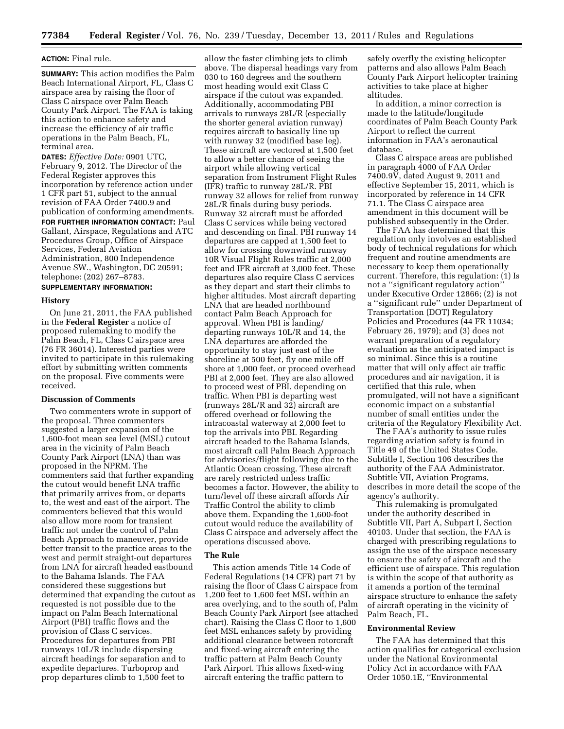# **ACTION:** Final rule.

**SUMMARY:** This action modifies the Palm Beach International Airport, FL, Class C airspace area by raising the floor of Class C airspace over Palm Beach County Park Airport. The FAA is taking this action to enhance safety and increase the efficiency of air traffic operations in the Palm Beach, FL, terminal area.

**DATES:** *Effective Date:* 0901 UTC, February 9, 2012. The Director of the Federal Register approves this incorporation by reference action under 1 CFR part 51, subject to the annual revision of FAA Order 7400.9 and publication of conforming amendments. **FOR FURTHER INFORMATION CONTACT:** Paul Gallant, Airspace, Regulations and ATC Procedures Group, Office of Airspace Services, Federal Aviation Administration, 800 Independence Avenue SW., Washington, DC 20591; telephone: (202) 267–8783.

# **SUPPLEMENTARY INFORMATION:**

### **History**

On June 21, 2011, the FAA published in the **Federal Register** a notice of proposed rulemaking to modify the Palm Beach, FL, Class C airspace area (76 FR 36014). Interested parties were invited to participate in this rulemaking effort by submitting written comments on the proposal. Five comments were received.

## **Discussion of Comments**

Two commenters wrote in support of the proposal. Three commenters suggested a larger expansion of the 1,600-foot mean sea level (MSL) cutout area in the vicinity of Palm Beach County Park Airport (LNA) than was proposed in the NPRM. The commenters said that further expanding the cutout would benefit LNA traffic that primarily arrives from, or departs to, the west and east of the airport. The commenters believed that this would also allow more room for transient traffic not under the control of Palm Beach Approach to maneuver, provide better transit to the practice areas to the west and permit straight-out departures from LNA for aircraft headed eastbound to the Bahama Islands. The FAA considered these suggestions but determined that expanding the cutout as requested is not possible due to the impact on Palm Beach International Airport (PBI) traffic flows and the provision of Class C services. Procedures for departures from PBI runways 10L/R include dispersing aircraft headings for separation and to expedite departures. Turboprop and prop departures climb to 1,500 feet to

allow the faster climbing jets to climb above. The dispersal headings vary from 030 to 160 degrees and the southern most heading would exit Class C airspace if the cutout was expanded. Additionally, accommodating PBI arrivals to runways 28L/R (especially the shorter general aviation runway) requires aircraft to basically line up with runway 32 (modified base leg). These aircraft are vectored at 1,500 feet to allow a better chance of seeing the airport while allowing vertical separation from Instrument Flight Rules (IFR) traffic to runway 28L/R. PBI runway 32 allows for relief from runway 28L/R finals during busy periods. Runway 32 aircraft must be afforded Class C services while being vectored and descending on final. PBI runway 14 departures are capped at 1,500 feet to allow for crossing downwind runway 10R Visual Flight Rules traffic at 2,000 feet and IFR aircraft at 3,000 feet. These departures also require Class C services as they depart and start their climbs to higher altitudes. Most aircraft departing LNA that are headed northbound contact Palm Beach Approach for approval. When PBI is landing/ departing runways 10L/R and 14, the LNA departures are afforded the opportunity to stay just east of the shoreline at 500 feet, fly one mile off shore at 1,000 feet, or proceed overhead PBI at 2,000 feet. They are also allowed to proceed west of PBI, depending on traffic. When PBI is departing west (runways 28L/R and 32) aircraft are offered overhead or following the intracoastal waterway at 2,000 feet to top the arrivals into PBI. Regarding aircraft headed to the Bahama Islands, most aircraft call Palm Beach Approach for advisories/flight following due to the Atlantic Ocean crossing. These aircraft are rarely restricted unless traffic becomes a factor. However, the ability to turn/level off these aircraft affords Air Traffic Control the ability to climb above them. Expanding the 1,600-foot cutout would reduce the availability of Class C airspace and adversely affect the operations discussed above.

### **The Rule**

This action amends Title 14 Code of Federal Regulations (14 CFR) part 71 by raising the floor of Class C airspace from 1,200 feet to 1,600 feet MSL within an area overlying, and to the south of, Palm Beach County Park Airport (see attached chart). Raising the Class C floor to 1,600 feet MSL enhances safety by providing additional clearance between rotorcraft and fixed-wing aircraft entering the traffic pattern at Palm Beach County Park Airport. This allows fixed-wing aircraft entering the traffic pattern to

safely overfly the existing helicopter patterns and also allows Palm Beach County Park Airport helicopter training activities to take place at higher altitudes.

In addition, a minor correction is made to the latitude/longitude coordinates of Palm Beach County Park Airport to reflect the current information in FAA's aeronautical database.

Class C airspace areas are published in paragraph 4000 of FAA Order 7400.9V, dated August 9, 2011 and effective September 15, 2011, which is incorporated by reference in 14 CFR 71.1. The Class C airspace area amendment in this document will be published subsequently in the Order.

The FAA has determined that this regulation only involves an established body of technical regulations for which frequent and routine amendments are necessary to keep them operationally current. Therefore, this regulation: (1) Is not a ''significant regulatory action'' under Executive Order 12866; (2) is not a ''significant rule'' under Department of Transportation (DOT) Regulatory Policies and Procedures (44 FR 11034; February 26, 1979); and (3) does not warrant preparation of a regulatory evaluation as the anticipated impact is so minimal. Since this is a routine matter that will only affect air traffic procedures and air navigation, it is certified that this rule, when promulgated, will not have a significant economic impact on a substantial number of small entities under the criteria of the Regulatory Flexibility Act.

The FAA's authority to issue rules regarding aviation safety is found in Title 49 of the United States Code. Subtitle I, Section 106 describes the authority of the FAA Administrator. Subtitle VII, Aviation Programs, describes in more detail the scope of the agency's authority.

This rulemaking is promulgated under the authority described in Subtitle VII, Part A, Subpart I, Section 40103. Under that section, the FAA is charged with prescribing regulations to assign the use of the airspace necessary to ensure the safety of aircraft and the efficient use of airspace. This regulation is within the scope of that authority as it amends a portion of the terminal airspace structure to enhance the safety of aircraft operating in the vicinity of Palm Beach, FL.

## **Environmental Review**

The FAA has determined that this action qualifies for categorical exclusion under the National Environmental Policy Act in accordance with FAA Order 1050.1E, ''Environmental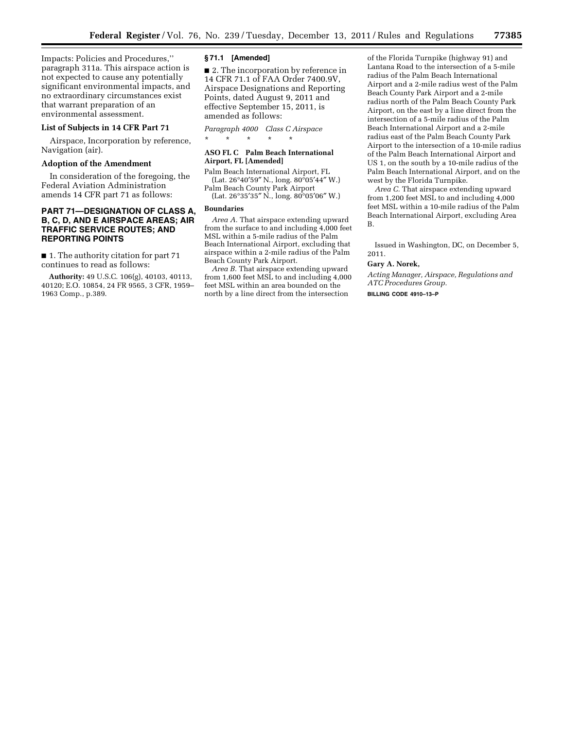Impacts: Policies and Procedures,'' paragraph 311a. This airspace action is not expected to cause any potentially significant environmental impacts, and no extraordinary circumstances exist that warrant preparation of an environmental assessment.

## **List of Subjects in 14 CFR Part 71**

Airspace, Incorporation by reference, Navigation (air).

### **Adoption of the Amendment**

In consideration of the foregoing, the Federal Aviation Administration amends 14 CFR part 71 as follows:

# **PART 71—DESIGNATION OF CLASS A, B, C, D, AND E AIRSPACE AREAS; AIR TRAFFIC SERVICE ROUTES; AND REPORTING POINTS**

■ 1. The authority citation for part 71 continues to read as follows:

**Authority:** 49 U.S.C. 106(g), 40103, 40113, 40120; E.O. 10854, 24 FR 9565, 3 CFR, 1959– 1963 Comp., p.389.

### **§ 71.1 [Amended]**

■ 2. The incorporation by reference in 14 CFR 71.1 of FAA Order 7400.9V, Airspace Designations and Reporting Points, dated August 9, 2011 and effective September 15, 2011, is amended as follows:

*Paragraph 4000 Class C Airspace*  \* \* \* \* \*

# **ASO FL C Palm Beach International Airport, FL [Amended]**

Palm Beach International Airport, FL (Lat. 26°40′59″ N., long. 80°05′44″ W.) Palm Beach County Park Airport

(Lat. 26°35′35″ N., long. 80°05′06″ W.)

# **Boundaries**

*Area A.* That airspace extending upward from the surface to and including 4,000 feet MSL within a 5-mile radius of the Palm Beach International Airport, excluding that airspace within a 2-mile radius of the Palm Beach County Park Airport.

*Area B.* That airspace extending upward from 1,600 feet MSL to and including 4,000 feet MSL within an area bounded on the north by a line direct from the intersection

of the Florida Turnpike (highway 91) and Lantana Road to the intersection of a 5-mile radius of the Palm Beach International Airport and a 2-mile radius west of the Palm Beach County Park Airport and a 2-mile radius north of the Palm Beach County Park Airport, on the east by a line direct from the intersection of a 5-mile radius of the Palm Beach International Airport and a 2-mile radius east of the Palm Beach County Park Airport to the intersection of a 10-mile radius of the Palm Beach International Airport and US 1, on the south by a 10-mile radius of the Palm Beach International Airport, and on the west by the Florida Turnpike.

*Area C.* That airspace extending upward from 1,200 feet MSL to and including 4,000 feet MSL within a 10-mile radius of the Palm Beach International Airport, excluding Area B.

Issued in Washington, DC, on December 5, 2011.

### **Gary A. Norek,**

*Acting Manager, Airspace, Regulations and ATC Procedures Group.* 

**BILLING CODE 4910–13–P**